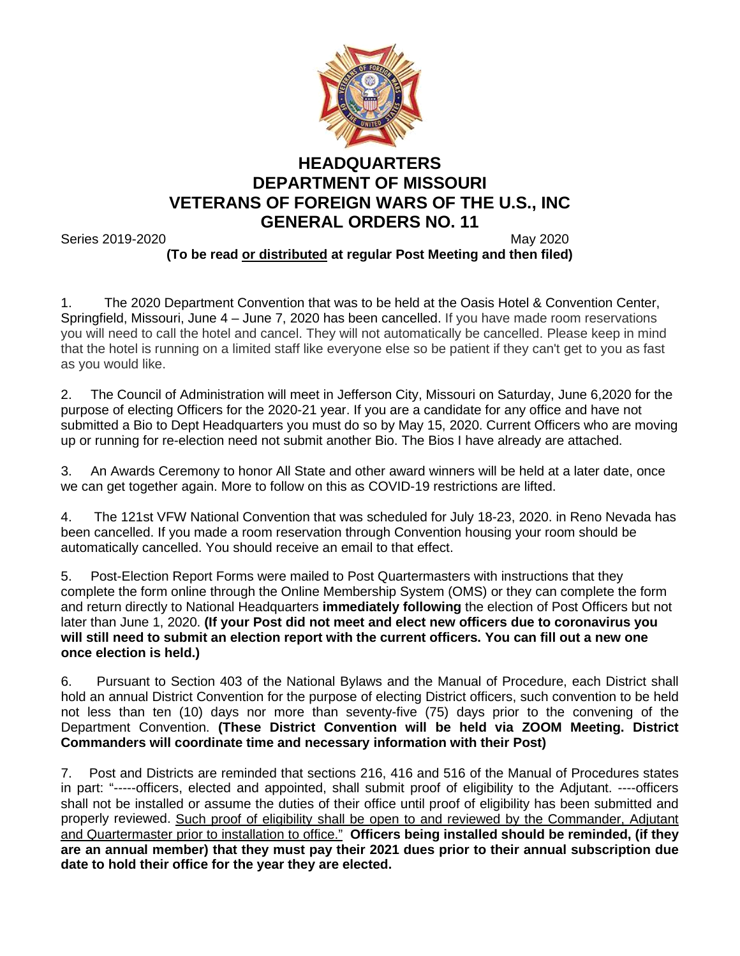

## **HEADQUARTERS DEPARTMENT OF MISSOURI VETERANS OF FOREIGN WARS OF THE U.S., INC GENERAL ORDERS NO. 11**

Series 2019-2020 May 2020 **(To be read or distributed at regular Post Meeting and then filed)**

1. The 2020 Department Convention that was to be held at the Oasis Hotel & Convention Center, Springfield, Missouri, June 4 – June 7, 2020 has been cancelled. If you have made room reservations you will need to call the hotel and cancel. They will not automatically be cancelled. Please keep in mind that the hotel is running on a limited staff like everyone else so be patient if they can't get to you as fast as you would like.

2. The Council of Administration will meet in Jefferson City, Missouri on Saturday, June 6,2020 for the purpose of electing Officers for the 2020-21 year. If you are a candidate for any office and have not submitted a Bio to Dept Headquarters you must do so by May 15, 2020. Current Officers who are moving up or running for re-election need not submit another Bio. The Bios I have already are attached.

3. An Awards Ceremony to honor All State and other award winners will be held at a later date, once we can get together again. More to follow on this as COVID-19 restrictions are lifted.

4. The 121st VFW National Convention that was scheduled for July 18-23, 2020. in Reno Nevada has been cancelled. If you made a room reservation through Convention housing your room should be automatically cancelled. You should receive an email to that effect.

5. Post-Election Report Forms were mailed to Post Quartermasters with instructions that they complete the form online through the Online Membership System (OMS) or they can complete the form and return directly to National Headquarters **immediately following** the election of Post Officers but not later than June 1, 2020. **(If your Post did not meet and elect new officers due to coronavirus you will still need to submit an election report with the current officers. You can fill out a new one once election is held.)**

6. Pursuant to Section 403 of the National Bylaws and the Manual of Procedure, each District shall hold an annual District Convention for the purpose of electing District officers, such convention to be held not less than ten (10) days nor more than seventy-five (75) days prior to the convening of the Department Convention. **(These District Convention will be held via ZOOM Meeting. District Commanders will coordinate time and necessary information with their Post)**

7. Post and Districts are reminded that sections 216, 416 and 516 of the Manual of Procedures states in part: "-----officers, elected and appointed, shall submit proof of eligibility to the Adjutant. ----officers shall not be installed or assume the duties of their office until proof of eligibility has been submitted and properly reviewed. Such proof of eligibility shall be open to and reviewed by the Commander, Adjutant and Quartermaster prior to installation to office." **Officers being installed should be reminded, (if they are an annual member) that they must pay their 2021 dues prior to their annual subscription due date to hold their office for the year they are elected.**